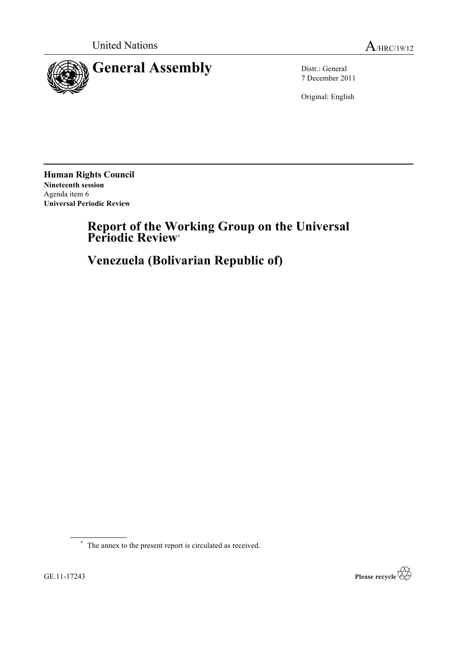

7 December 2011

Original: English

**Human Rights Council Nineteenth session** Agenda item 6 **Universal Periodic Review**

# **Report of the Working Group on the Universal Periodic Review**\*

**Venezuela (Bolivarian Republic of)**

\* The annex to the present report is circulated as received.

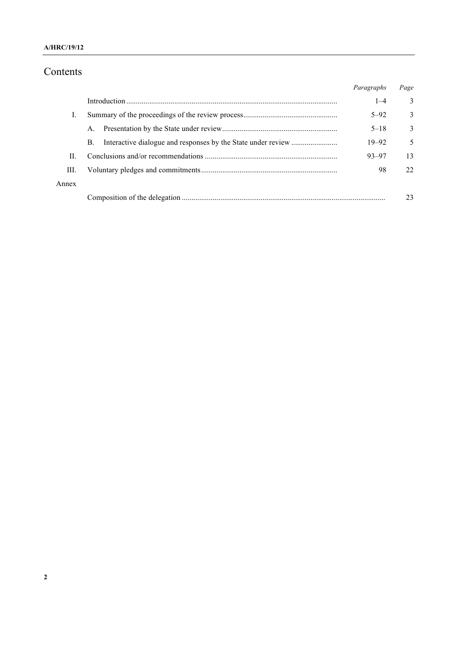## Contents

|       |             | Paragraphs | Page |
|-------|-------------|------------|------|
|       |             | $1 - 4$    | 3    |
|       |             | $5 - 92$   | 3    |
|       | $A_{\cdot}$ | $5 - 18$   | 3    |
|       | B.          | $19 - 92$  | 5    |
| H.    |             | $93 - 97$  | 13   |
| Ш.    |             | 98         | 22   |
| Annex |             |            |      |
|       |             |            | 23   |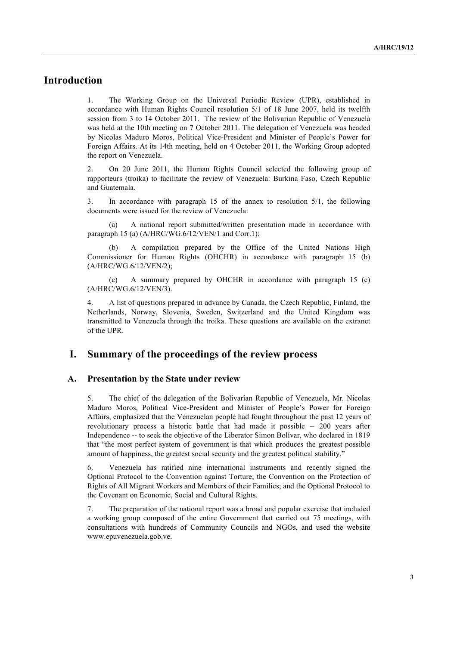## **Introduction**

1. The Working Group on the Universal Periodic Review (UPR), established in accordance with Human Rights Council resolution 5/1 of 18 June 2007, held its twelfth session from 3 to 14 October 2011. The review of the Bolivarian Republic of Venezuela was held at the 10th meeting on 7 October 2011. The delegation of Venezuela was headed by Nicolas Maduro Moros, Political Vice-President and Minister of People's Power for Foreign Affairs. At its 14th meeting, held on 4 October 2011, the Working Group adopted the report on Venezuela.

2. On 20 June 2011, the Human Rights Council selected the following group of rapporteurs (troika) to facilitate the review of Venezuela: Burkina Faso, Czech Republic and Guatemala.

3. In accordance with paragraph 15 of the annex to resolution 5/1, the following documents were issued for the review of Venezuela:

(a) A national report submitted/written presentation made in accordance with paragraph 15 (a) (A/HRC/WG.6/12/VEN/1 and Corr.1);

A compilation prepared by the Office of the United Nations High Commissioner for Human Rights (OHCHR) in accordance with paragraph 15 (b) (A/HRC/WG.6/12/VEN/2);

(c) A summary prepared by OHCHR in accordance with paragraph 15 (c) (A/HRC/WG.6/12/VEN/3).

4. A list of questions prepared in advance by Canada, the Czech Republic, Finland, the Netherlands, Norway, Slovenia, Sweden, Switzerland and the United Kingdom was transmitted to Venezuela through the troika. These questions are available on the extranet of the UPR.

## **I. Summary of the proceedings of the review process**

#### **A. Presentation by the State under review**

5. The chief of the delegation of the Bolivarian Republic of Venezuela, Mr. Nicolas Maduro Moros, Political Vice-President and Minister of People's Power for Foreign Affairs, emphasized that the Venezuelan people had fought throughout the past 12 years of revolutionary process a historic battle that had made it possible -- 200 years after Independence -- to seek the objective of the Liberator Simon Bolívar, who declared in 1819 that "the most perfect system of government is that which produces the greatest possible amount of happiness, the greatest social security and the greatest political stability."

6. Venezuela has ratified nine international instruments and recently signed the Optional Protocol to the Convention against Torture; the Convention on the Protection of Rights of All Migrant Workers and Members of their Families; and the Optional Protocol to the Covenant on Economic, Social and Cultural Rights.

7. The preparation of the national report was a broad and popular exercise that included a working group composed of the entire Government that carried out 75 meetings, with consultations with hundreds of Community Councils and NGOs, and used the website www.epuvenezuela.gob.ve.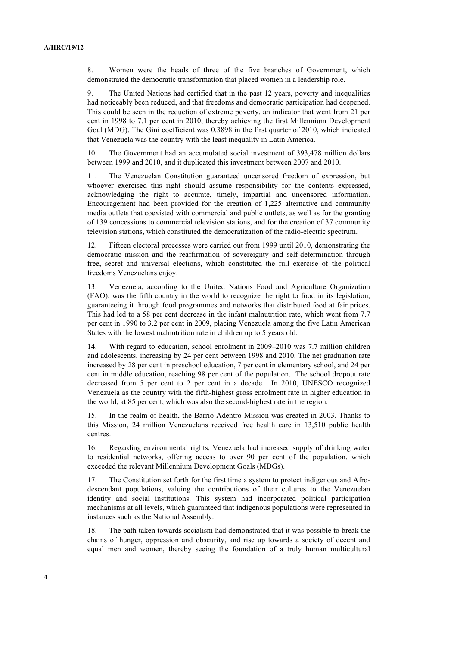8. Women were the heads of three of the five branches of Government, which demonstrated the democratic transformation that placed women in a leadership role.

9. The United Nations had certified that in the past 12 years, poverty and inequalities had noticeably been reduced, and that freedoms and democratic participation had deepened. This could be seen in the reduction of extreme poverty, an indicator that went from 21 per cent in 1998 to 7.1 per cent in 2010, thereby achieving the first Millennium Development Goal (MDG). The Gini coefficient was 0.3898 in the first quarter of 2010, which indicated that Venezuela was the country with the least inequality in Latin America.

10. The Government had an accumulated social investment of 393,478 million dollars between 1999 and 2010, and it duplicated this investment between 2007 and 2010.

11. The Venezuelan Constitution guaranteed uncensored freedom of expression, but whoever exercised this right should assume responsibility for the contents expressed, acknowledging the right to accurate, timely, impartial and uncensored information. Encouragement had been provided for the creation of 1,225 alternative and community media outlets that coexisted with commercial and public outlets, as well as for the granting of 139 concessions to commercial television stations, and for the creation of 37 community television stations, which constituted the democratization of the radio-electric spectrum.

12. Fifteen electoral processes were carried out from 1999 until 2010, demonstrating the democratic mission and the reaffirmation of sovereignty and self-determination through free, secret and universal elections, which constituted the full exercise of the political freedoms Venezuelans enjoy.

13. Venezuela, according to the United Nations Food and Agriculture Organization (FAO), was the fifth country in the world to recognize the right to food in its legislation, guaranteeing it through food programmes and networks that distributed food at fair prices. This had led to a 58 per cent decrease in the infant malnutrition rate, which went from 7.7 per cent in 1990 to 3.2 per cent in 2009, placing Venezuela among the five Latin American States with the lowest malnutrition rate in children up to 5 years old.

14. With regard to education, school enrolment in 2009–2010 was 7.7 million children and adolescents, increasing by 24 per cent between 1998 and 2010. The net graduation rate increased by 28 per cent in preschool education, 7 per cent in elementary school, and 24 per cent in middle education, reaching 98 per cent of the population. The school dropout rate decreased from 5 per cent to 2 per cent in a decade. In 2010, UNESCO recognized Venezuela as the country with the fifth-highest gross enrolment rate in higher education in the world, at 85 per cent, which was also the second-highest rate in the region.

15. In the realm of health, the Barrio Adentro Mission was created in 2003. Thanks to this Mission, 24 million Venezuelans received free health care in 13,510 public health centres.

16. Regarding environmental rights, Venezuela had increased supply of drinking water to residential networks, offering access to over 90 per cent of the population, which exceeded the relevant Millennium Development Goals (MDGs).

17. The Constitution set forth for the first time a system to protect indigenous and Afrodescendant populations, valuing the contributions of their cultures to the Venezuelan identity and social institutions. This system had incorporated political participation mechanisms at all levels, which guaranteed that indigenous populations were represented in instances such as the National Assembly.

18. The path taken towards socialism had demonstrated that it was possible to break the chains of hunger, oppression and obscurity, and rise up towards a society of decent and equal men and women, thereby seeing the foundation of a truly human multicultural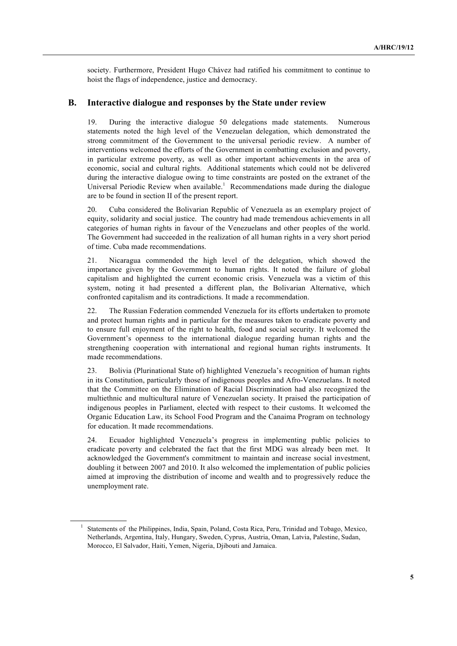society. Furthermore, President Hugo Chávez had ratified his commitment to continue to hoist the flags of independence, justice and democracy.

#### **B. Interactive dialogue and responses by the State under review**

19. During the interactive dialogue 50 delegations made statements. Numerous statements noted the high level of the Venezuelan delegation, which demonstrated the strong commitment of the Government to the universal periodic review. A number of interventions welcomed the efforts of the Government in combatting exclusion and poverty, in particular extreme poverty, as well as other important achievements in the area of economic, social and cultural rights. Additional statements which could not be delivered during the interactive dialogue owing to time constraints are posted on the extranet of the Universal Periodic Review when available.<sup>1</sup> Recommendations made during the dialogue are to be found in section II of the present report.

20. Cuba considered the Bolivarian Republic of Venezuela as an exemplary project of equity, solidarity and social justice. The country had made tremendous achievements in all categories of human rights in favour of the Venezuelans and other peoples of the world. The Government had succeeded in the realization of all human rights in a very short period of time. Cuba made recommendations.

21. Nicaragua commended the high level of the delegation, which showed the importance given by the Government to human rights. It noted the failure of global capitalism and highlighted the current economic crisis. Venezuela was a victim of this system, noting it had presented a different plan, the Bolivarian Alternative, which confronted capitalism and its contradictions. It made a recommendation.

22. The Russian Federation commended Venezuela for its efforts undertaken to promote and protect human rights and in particular for the measures taken to eradicate poverty and to ensure full enjoyment of the right to health, food and social security. It welcomed the Government's openness to the international dialogue regarding human rights and the strengthening cooperation with international and regional human rights instruments. It made recommendations.

23. Bolivia (Plurinational State of) highlighted Venezuela's recognition of human rights in its Constitution, particularly those of indigenous peoples and Afro-Venezuelans. It noted that the Committee on the Elimination of Racial Discrimination had also recognized the multiethnic and multicultural nature of Venezuelan society. It praised the participation of indigenous peoples in Parliament, elected with respect to their customs. It welcomed the Organic Education Law, its School Food Program and the Canaima Program on technology for education. It made recommendations.

24. Ecuador highlighted Venezuela's progress in implementing public policies to eradicate poverty and celebrated the fact that the first MDG was already been met. It acknowledged the Government's commitment to maintain and increase social investment, doubling it between 2007 and 2010. It also welcomed the implementation of public policies aimed at improving the distribution of income and wealth and to progressively reduce the unemployment rate.

<sup>&</sup>lt;sup>1</sup> Statements of the Philippines, India, Spain, Poland, Costa Rica, Peru, Trinidad and Tobago, Mexico, Netherlands, Argentina, Italy, Hungary, Sweden, Cyprus, Austria, Oman, Latvia, Palestine, Sudan, Morocco, El Salvador, Haiti, Yemen, Nigeria, Djibouti and Jamaica.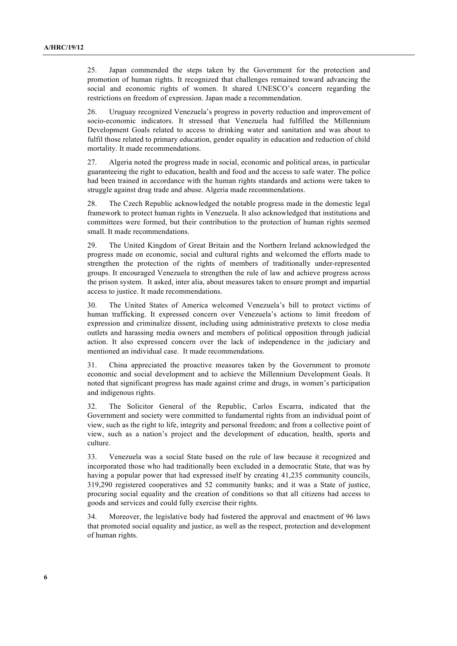25. Japan commended the steps taken by the Government for the protection and promotion of human rights. It recognized that challenges remained toward advancing the social and economic rights of women. It shared UNESCO's concern regarding the restrictions on freedom of expression. Japan made a recommendation.

26. Uruguay recognized Venezuela's progress in poverty reduction and improvement of socio-economic indicators. It stressed that Venezuela had fulfilled the Millennium Development Goals related to access to drinking water and sanitation and was about to fulfil those related to primary education, gender equality in education and reduction of child mortality. It made recommendations.

27. Algeria noted the progress made in social, economic and political areas, in particular guaranteeing the right to education, health and food and the access to safe water. The police had been trained in accordance with the human rights standards and actions were taken to struggle against drug trade and abuse. Algeria made recommendations.

28. The Czech Republic acknowledged the notable progress made in the domestic legal framework to protect human rights in Venezuela. It also acknowledged that institutions and committees were formed, but their contribution to the protection of human rights seemed small. It made recommendations.

29. The United Kingdom of Great Britain and the Northern Ireland acknowledged the progress made on economic, social and cultural rights and welcomed the efforts made to strengthen the protection of the rights of members of traditionally under-represented groups. It encouraged Venezuela to strengthen the rule of law and achieve progress across the prison system. It asked, inter alia, about measures taken to ensure prompt and impartial access to justice. It made recommendations.

30. The United States of America welcomed Venezuela's bill to protect victims of human trafficking. It expressed concern over Venezuela's actions to limit freedom of expression and criminalize dissent, including using administrative pretexts to close media outlets and harassing media owners and members of political opposition through judicial action. It also expressed concern over the lack of independence in the judiciary and mentioned an individual case. It made recommendations.

31. China appreciated the proactive measures taken by the Government to promote economic and social development and to achieve the Millennium Development Goals. It noted that significant progress has made against crime and drugs, in women's participation and indigenous rights.

32. The Solicitor General of the Republic, Carlos Escarra, indicated that the Government and society were committed to fundamental rights from an individual point of view, such as the right to life, integrity and personal freedom; and from a collective point of view, such as a nation's project and the development of education, health, sports and culture.

33. Venezuela was a social State based on the rule of law because it recognized and incorporated those who had traditionally been excluded in a democratic State, that was by having a popular power that had expressed itself by creating 41,235 community councils, 319,290 registered cooperatives and 52 community banks; and it was a State of justice, procuring social equality and the creation of conditions so that all citizens had access to goods and services and could fully exercise their rights.

34. Moreover, the legislative body had fostered the approval and enactment of 96 laws that promoted social equality and justice, as well as the respect, protection and development of human rights.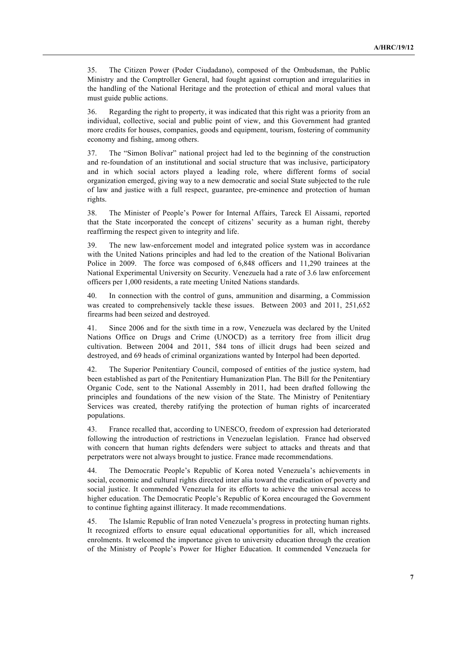35. The Citizen Power (Poder Ciudadano), composed of the Ombudsman, the Public Ministry and the Comptroller General, had fought against corruption and irregularities in the handling of the National Heritage and the protection of ethical and moral values that must guide public actions.

36. Regarding the right to property, it was indicated that this right was a priority from an individual, collective, social and public point of view, and this Government had granted more credits for houses, companies, goods and equipment, tourism, fostering of community economy and fishing, among others.

37. The "Simon Bolívar" national project had led to the beginning of the construction and re-foundation of an institutional and social structure that was inclusive, participatory and in which social actors played a leading role, where different forms of social organization emerged, giving way to a new democratic and social State subjected to the rule of law and justice with a full respect, guarantee, pre-eminence and protection of human rights.

38. The Minister of People's Power for Internal Affairs, Tareck El Aissami, reported that the State incorporated the concept of citizens' security as a human right, thereby reaffirming the respect given to integrity and life.

39. The new law-enforcement model and integrated police system was in accordance with the United Nations principles and had led to the creation of the National Bolivarian Police in 2009. The force was composed of 6,848 officers and 11,290 trainees at the National Experimental University on Security. Venezuela had a rate of 3.6 law enforcement officers per 1,000 residents, a rate meeting United Nations standards.

40. In connection with the control of guns, ammunition and disarming, a Commission was created to comprehensively tackle these issues. Between 2003 and 2011, 251,652 firearms had been seized and destroyed.

41. Since 2006 and for the sixth time in a row, Venezuela was declared by the United Nations Office on Drugs and Crime (UNOCD) as a territory free from illicit drug cultivation. Between 2004 and 2011, 584 tons of illicit drugs had been seized and destroyed, and 69 heads of criminal organizations wanted by Interpol had been deported.

42. The Superior Penitentiary Council, composed of entities of the justice system, had been established as part of the Penitentiary Humanization Plan. The Bill for the Penitentiary Organic Code, sent to the National Assembly in 2011, had been drafted following the principles and foundations of the new vision of the State. The Ministry of Penitentiary Services was created, thereby ratifying the protection of human rights of incarcerated populations.

43. France recalled that, according to UNESCO, freedom of expression had deteriorated following the introduction of restrictions in Venezuelan legislation. France had observed with concern that human rights defenders were subject to attacks and threats and that perpetrators were not always brought to justice. France made recommendations.

44. The Democratic People's Republic of Korea noted Venezuela's achievements in social, economic and cultural rights directed inter alia toward the eradication of poverty and social justice. It commended Venezuela for its efforts to achieve the universal access to higher education. The Democratic People's Republic of Korea encouraged the Government to continue fighting against illiteracy. It made recommendations.

45. The Islamic Republic of Iran noted Venezuela's progress in protecting human rights. It recognized efforts to ensure equal educational opportunities for all, which increased enrolments. It welcomed the importance given to university education through the creation of the Ministry of People's Power for Higher Education. It commended Venezuela for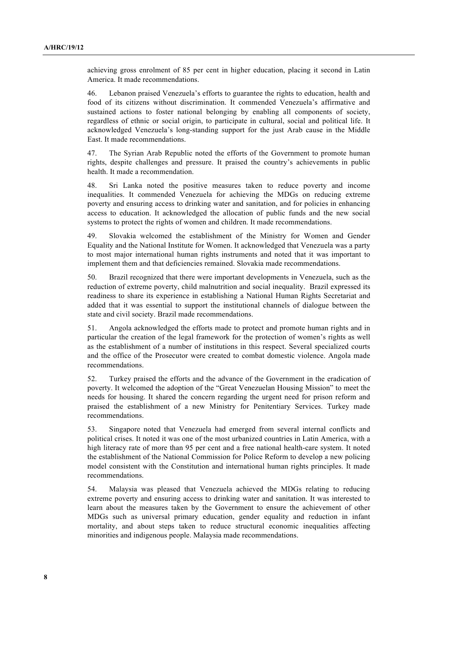achieving gross enrolment of 85 per cent in higher education, placing it second in Latin America. It made recommendations.

46. Lebanon praised Venezuela's efforts to guarantee the rights to education, health and food of its citizens without discrimination. It commended Venezuela's affirmative and sustained actions to foster national belonging by enabling all components of society, regardless of ethnic or social origin, to participate in cultural, social and political life. It acknowledged Venezuela's long-standing support for the just Arab cause in the Middle East. It made recommendations.

47. The Syrian Arab Republic noted the efforts of the Government to promote human rights, despite challenges and pressure. It praised the country's achievements in public health. It made a recommendation.

48. Sri Lanka noted the positive measures taken to reduce poverty and income inequalities. It commended Venezuela for achieving the MDGs on reducing extreme poverty and ensuring access to drinking water and sanitation, and for policies in enhancing access to education. It acknowledged the allocation of public funds and the new social systems to protect the rights of women and children. It made recommendations.

49. Slovakia welcomed the establishment of the Ministry for Women and Gender Equality and the National Institute for Women. It acknowledged that Venezuela was a party to most major international human rights instruments and noted that it was important to implement them and that deficiencies remained. Slovakia made recommendations.

50. Brazil recognized that there were important developments in Venezuela, such as the reduction of extreme poverty, child malnutrition and social inequality. Brazil expressed its readiness to share its experience in establishing a National Human Rights Secretariat and added that it was essential to support the institutional channels of dialogue between the state and civil society. Brazil made recommendations.

51. Angola acknowledged the efforts made to protect and promote human rights and in particular the creation of the legal framework for the protection of women's rights as well as the establishment of a number of institutions in this respect. Several specialized courts and the office of the Prosecutor were created to combat domestic violence. Angola made recommendations.

52. Turkey praised the efforts and the advance of the Government in the eradication of poverty. It welcomed the adoption of the "Great Venezuelan Housing Mission" to meet the needs for housing. It shared the concern regarding the urgent need for prison reform and praised the establishment of a new Ministry for Penitentiary Services. Turkey made recommendations.

53. Singapore noted that Venezuela had emerged from several internal conflicts and political crises. It noted it was one of the most urbanized countries in Latin America, with a high literacy rate of more than 95 per cent and a free national health-care system. It noted the establishment of the National Commission for Police Reform to develop a new policing model consistent with the Constitution and international human rights principles. It made recommendations.

54. Malaysia was pleased that Venezuela achieved the MDGs relating to reducing extreme poverty and ensuring access to drinking water and sanitation. It was interested to learn about the measures taken by the Government to ensure the achievement of other MDGs such as universal primary education, gender equality and reduction in infant mortality, and about steps taken to reduce structural economic inequalities affecting minorities and indigenous people. Malaysia made recommendations.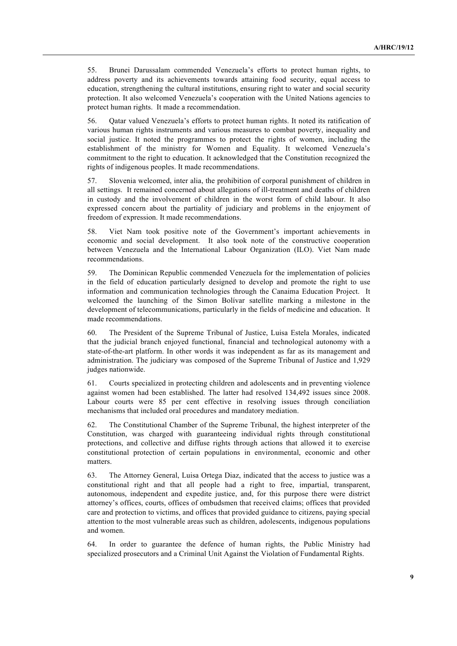55. Brunei Darussalam commended Venezuela's efforts to protect human rights, to address poverty and its achievements towards attaining food security, equal access to education, strengthening the cultural institutions, ensuring right to water and social security protection. It also welcomed Venezuela's cooperation with the United Nations agencies to protect human rights. It made a recommendation.

56. Qatar valued Venezuela's efforts to protect human rights. It noted its ratification of various human rights instruments and various measures to combat poverty, inequality and social justice. It noted the programmes to protect the rights of women, including the establishment of the ministry for Women and Equality. It welcomed Venezuela's commitment to the right to education. It acknowledged that the Constitution recognized the rights of indigenous peoples. It made recommendations.

57. Slovenia welcomed, inter alia, the prohibition of corporal punishment of children in all settings. It remained concerned about allegations of ill-treatment and deaths of children in custody and the involvement of children in the worst form of child labour. It also expressed concern about the partiality of judiciary and problems in the enjoyment of freedom of expression. It made recommendations.

58. Viet Nam took positive note of the Government's important achievements in economic and social development. It also took note of the constructive cooperation between Venezuela and the International Labour Organization (ILO). Viet Nam made recommendations.

59. The Dominican Republic commended Venezuela for the implementation of policies in the field of education particularly designed to develop and promote the right to use information and communication technologies through the Canaima Education Project. It welcomed the launching of the Simon Bolívar satellite marking a milestone in the development of telecommunications, particularly in the fields of medicine and education. It made recommendations.

60. The President of the Supreme Tribunal of Justice, Luisa Estela Morales, indicated that the judicial branch enjoyed functional, financial and technological autonomy with a state-of-the-art platform. In other words it was independent as far as its management and administration. The judiciary was composed of the Supreme Tribunal of Justice and 1,929 judges nationwide.

61. Courts specialized in protecting children and adolescents and in preventing violence against women had been established. The latter had resolved 134,492 issues since 2008. Labour courts were 85 per cent effective in resolving issues through conciliation mechanisms that included oral procedures and mandatory mediation.

62. The Constitutional Chamber of the Supreme Tribunal, the highest interpreter of the Constitution, was charged with guaranteeing individual rights through constitutional protections, and collective and diffuse rights through actions that allowed it to exercise constitutional protection of certain populations in environmental, economic and other matters.

63. The Attorney General, Luisa Ortega Diaz, indicated that the access to justice was a constitutional right and that all people had a right to free, impartial, transparent, autonomous, independent and expedite justice, and, for this purpose there were district attorney's offices, courts, offices of ombudsmen that received claims; offices that provided care and protection to victims, and offices that provided guidance to citizens, paying special attention to the most vulnerable areas such as children, adolescents, indigenous populations and women.

64. In order to guarantee the defence of human rights, the Public Ministry had specialized prosecutors and a Criminal Unit Against the Violation of Fundamental Rights.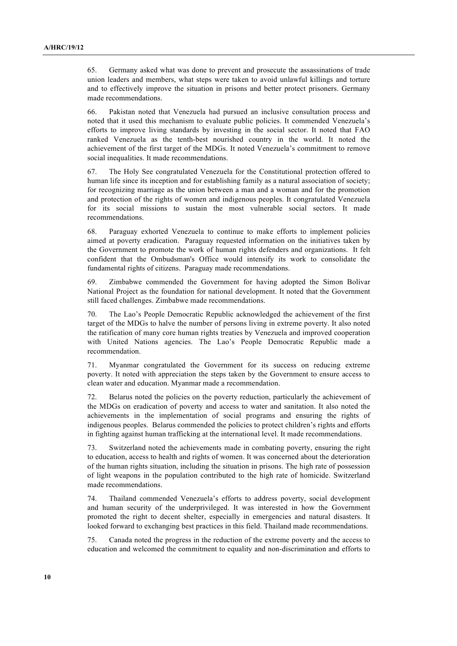65. Germany asked what was done to prevent and prosecute the assassinations of trade union leaders and members, what steps were taken to avoid unlawful killings and torture and to effectively improve the situation in prisons and better protect prisoners. Germany made recommendations.

66. Pakistan noted that Venezuela had pursued an inclusive consultation process and noted that it used this mechanism to evaluate public policies. It commended Venezuela's efforts to improve living standards by investing in the social sector. It noted that FAO ranked Venezuela as the tenth-best nourished country in the world. It noted the achievement of the first target of the MDGs. It noted Venezuela's commitment to remove social inequalities. It made recommendations.

67. The Holy See congratulated Venezuela for the Constitutional protection offered to human life since its inception and for establishing family as a natural association of society; for recognizing marriage as the union between a man and a woman and for the promotion and protection of the rights of women and indigenous peoples. It congratulated Venezuela for its social missions to sustain the most vulnerable social sectors. It made recommendations.

68. Paraguay exhorted Venezuela to continue to make efforts to implement policies aimed at poverty eradication. Paraguay requested information on the initiatives taken by the Government to promote the work of human rights defenders and organizations. It felt confident that the Ombudsman's Office would intensify its work to consolidate the fundamental rights of citizens. Paraguay made recommendations.

69. Zimbabwe commended the Government for having adopted the Simon Bolívar National Project as the foundation for national development. It noted that the Government still faced challenges. Zimbabwe made recommendations.

70. The Lao's People Democratic Republic acknowledged the achievement of the first target of the MDGs to halve the number of persons living in extreme poverty. It also noted the ratification of many core human rights treaties by Venezuela and improved cooperation with United Nations agencies. The Lao's People Democratic Republic made a recommendation.

71. Myanmar congratulated the Government for its success on reducing extreme poverty. It noted with appreciation the steps taken by the Government to ensure access to clean water and education. Myanmar made a recommendation.

72. Belarus noted the policies on the poverty reduction, particularly the achievement of the MDGs on eradication of poverty and access to water and sanitation. It also noted the achievements in the implementation of social programs and ensuring the rights of indigenous peoples. Belarus commended the policies to protect children's rights and efforts in fighting against human trafficking at the international level. It made recommendations.

73. Switzerland noted the achievements made in combating poverty, ensuring the right to education, access to health and rights of women. It was concerned about the deterioration of the human rights situation, including the situation in prisons. The high rate of possession of light weapons in the population contributed to the high rate of homicide. Switzerland made recommendations.

74. Thailand commended Venezuela's efforts to address poverty, social development and human security of the underprivileged. It was interested in how the Government promoted the right to decent shelter, especially in emergencies and natural disasters. It looked forward to exchanging best practices in this field. Thailand made recommendations.

75. Canada noted the progress in the reduction of the extreme poverty and the access to education and welcomed the commitment to equality and non-discrimination and efforts to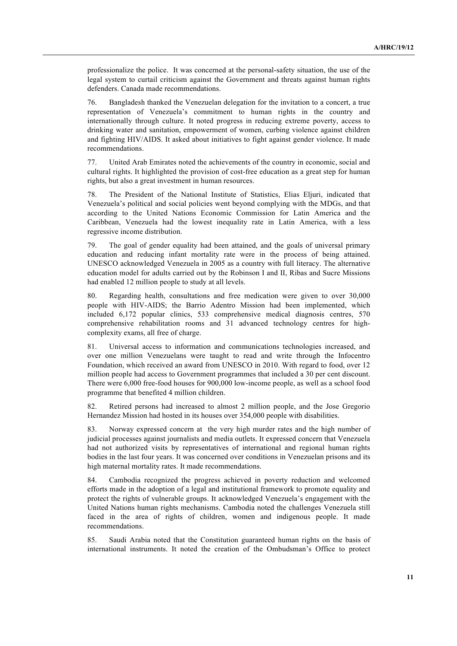professionalize the police. It was concerned at the personal-safety situation, the use of the legal system to curtail criticism against the Government and threats against human rights defenders. Canada made recommendations.

76. Bangladesh thanked the Venezuelan delegation for the invitation to a concert, a true representation of Venezuela's commitment to human rights in the country and internationally through culture. It noted progress in reducing extreme poverty, access to drinking water and sanitation, empowerment of women, curbing violence against children and fighting HIV/AIDS. It asked about initiatives to fight against gender violence. It made recommendations.

77. United Arab Emirates noted the achievements of the country in economic, social and cultural rights. It highlighted the provision of cost-free education as a great step for human rights, but also a great investment in human resources.

78. The President of the National Institute of Statistics, Elias Eljuri, indicated that Venezuela's political and social policies went beyond complying with the MDGs, and that according to the United Nations Economic Commission for Latin America and the Caribbean, Venezuela had the lowest inequality rate in Latin America, with a less regressive income distribution.

79. The goal of gender equality had been attained, and the goals of universal primary education and reducing infant mortality rate were in the process of being attained. UNESCO acknowledged Venezuela in 2005 as a country with full literacy. The alternative education model for adults carried out by the Robinson I and II, Ribas and Sucre Missions had enabled 12 million people to study at all levels.

80. Regarding health, consultations and free medication were given to over 30,000 people with HIV-AIDS; the Barrio Adentro Mission had been implemented, which included 6,172 popular clinics, 533 comprehensive medical diagnosis centres, 570 comprehensive rehabilitation rooms and 31 advanced technology centres for highcomplexity exams, all free of charge.

81. Universal access to information and communications technologies increased, and over one million Venezuelans were taught to read and write through the Infocentro Foundation, which received an award from UNESCO in 2010. With regard to food, over 12 million people had access to Government programmes that included a 30 per cent discount. There were 6,000 free-food houses for 900,000 low-income people, as well as a school food programme that benefited 4 million children.

82. Retired persons had increased to almost 2 million people, and the Jose Gregorio Hernandez Mission had hosted in its houses over 354,000 people with disabilities.

83. Norway expressed concern at the very high murder rates and the high number of judicial processes against journalists and media outlets. It expressed concern that Venezuela had not authorized visits by representatives of international and regional human rights bodies in the last four years. It was concerned over conditions in Venezuelan prisons and its high maternal mortality rates. It made recommendations.

84. Cambodia recognized the progress achieved in poverty reduction and welcomed efforts made in the adoption of a legal and institutional framework to promote equality and protect the rights of vulnerable groups. It acknowledged Venezuela's engagement with the United Nations human rights mechanisms. Cambodia noted the challenges Venezuela still faced in the area of rights of children, women and indigenous people. It made recommendations.

85. Saudi Arabia noted that the Constitution guaranteed human rights on the basis of international instruments. It noted the creation of the Ombudsman's Office to protect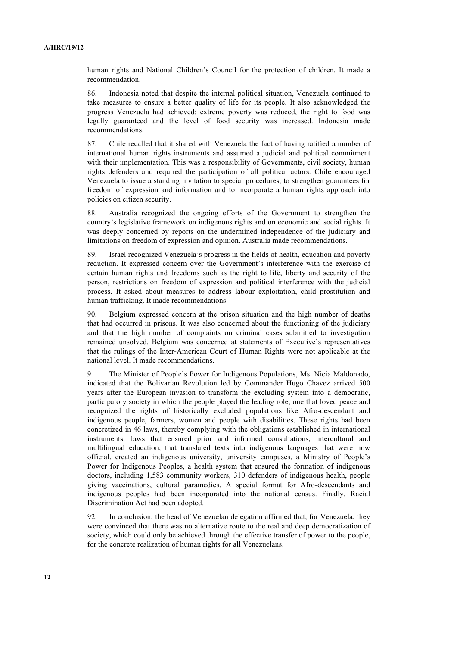human rights and National Children's Council for the protection of children. It made a recommendation.

86. Indonesia noted that despite the internal political situation, Venezuela continued to take measures to ensure a better quality of life for its people. It also acknowledged the progress Venezuela had achieved: extreme poverty was reduced, the right to food was legally guaranteed and the level of food security was increased. Indonesia made recommendations.

87. Chile recalled that it shared with Venezuela the fact of having ratified a number of international human rights instruments and assumed a judicial and political commitment with their implementation. This was a responsibility of Governments, civil society, human rights defenders and required the participation of all political actors. Chile encouraged Venezuela to issue a standing invitation to special procedures, to strengthen guarantees for freedom of expression and information and to incorporate a human rights approach into policies on citizen security.

88. Australia recognized the ongoing efforts of the Government to strengthen the country's legislative framework on indigenous rights and on economic and social rights. It was deeply concerned by reports on the undermined independence of the judiciary and limitations on freedom of expression and opinion. Australia made recommendations.

89. Israel recognized Venezuela's progress in the fields of health, education and poverty reduction. It expressed concern over the Government's interference with the exercise of certain human rights and freedoms such as the right to life, liberty and security of the person, restrictions on freedom of expression and political interference with the judicial process. It asked about measures to address labour exploitation, child prostitution and human trafficking. It made recommendations.

90. Belgium expressed concern at the prison situation and the high number of deaths that had occurred in prisons. It was also concerned about the functioning of the judiciary and that the high number of complaints on criminal cases submitted to investigation remained unsolved. Belgium was concerned at statements of Executive's representatives that the rulings of the Inter-American Court of Human Rights were not applicable at the national level. It made recommendations.

91. The Minister of People's Power for Indigenous Populations, Ms. Nicia Maldonado, indicated that the Bolivarian Revolution led by Commander Hugo Chavez arrived 500 years after the European invasion to transform the excluding system into a democratic, participatory society in which the people played the leading role, one that loved peace and recognized the rights of historically excluded populations like Afro-descendant and indigenous people, farmers, women and people with disabilities. These rights had been concretized in 46 laws, thereby complying with the obligations established in international instruments: laws that ensured prior and informed consultations, intercultural and multilingual education, that translated texts into indigenous languages that were now official, created an indigenous university, university campuses, a Ministry of People's Power for Indigenous Peoples, a health system that ensured the formation of indigenous doctors, including 1,583 community workers, 310 defenders of indigenous health, people giving vaccinations, cultural paramedics. A special format for Afro-descendants and indigenous peoples had been incorporated into the national census. Finally, Racial Discrimination Act had been adopted.

92. In conclusion, the head of Venezuelan delegation affirmed that, for Venezuela, they were convinced that there was no alternative route to the real and deep democratization of society, which could only be achieved through the effective transfer of power to the people, for the concrete realization of human rights for all Venezuelans.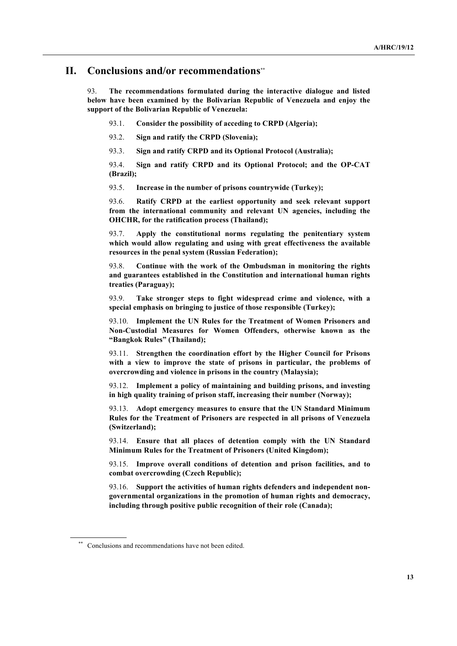#### **II. Conclusions and/or recommendations**\*\*

93. **The recommendations formulated during the interactive dialogue and listed below have been examined by the Bolivarian Republic of Venezuela and enjoy the support of the Bolivarian Republic of Venezuela:**

93.1. **Consider the possibility of acceding to CRPD (Algeria);** 

93.2. **Sign and ratify the CRPD (Slovenia);**

93.3. **Sign and ratify CRPD and its Optional Protocol (Australia);**

93.4. **Sign and ratify CRPD and its Optional Protocol; and the OP-CAT (Brazil);**

93.5. **Increase in the number of prisons countrywide (Turkey);**

93.6. **Ratify CRPD at the earliest opportunity and seek relevant support from the international community and relevant UN agencies, including the OHCHR, for the ratification process (Thailand);**

93.7. **Apply the constitutional norms regulating the penitentiary system which would allow regulating and using with great effectiveness the available resources in the penal system (Russian Federation);**

93.8. **Continue with the work of the Ombudsman in monitoring the rights and guarantees established in the Constitution and international human rights treaties (Paraguay);**

93.9. **Take stronger steps to fight widespread crime and violence, with a special emphasis on bringing to justice of those responsible (Turkey);**

93.10. **Implement the UN Rules for the Treatment of Women Prisoners and Non-Custodial Measures for Women Offenders, otherwise known as the "Bangkok Rules" (Thailand);**

93.11. **Strengthen the coordination effort by the Higher Council for Prisons with a view to improve the state of prisons in particular, the problems of overcrowding and violence in prisons in the country (Malaysia);**

93.12. **Implement a policy of maintaining and building prisons, and investing in high quality training of prison staff, increasing their number (Norway);**

93.13. **Adopt emergency measures to ensure that the UN Standard Minimum Rules for the Treatment of Prisoners are respected in all prisons of Venezuela (Switzerland);**

93.14. **Ensure that all places of detention comply with the UN Standard Minimum Rules for the Treatment of Prisoners (United Kingdom);**

93.15. **Improve overall conditions of detention and prison facilities, and to combat overcrowding (Czech Republic);**

93.16. **Support the activities of human rights defenders and independent nongovernmental organizations in the promotion of human rights and democracy, including through positive public recognition of their role (Canada);**

Conclusions and recommendations have not been edited.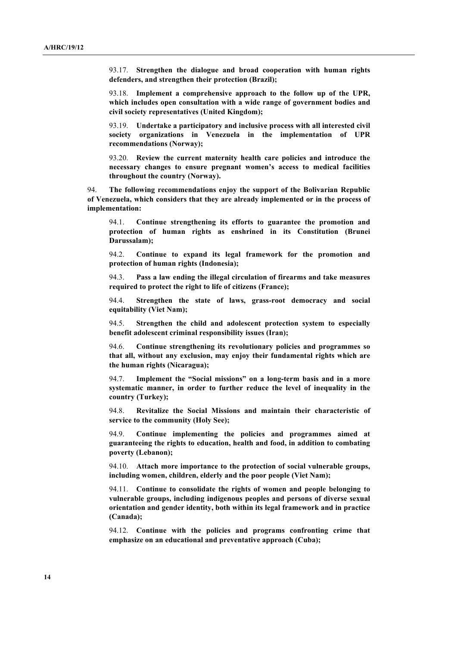93.17. **Strengthen the dialogue and broad cooperation with human rights defenders, and strengthen their protection (Brazil);**

93.18. **Implement a comprehensive approach to the follow up of the UPR, which includes open consultation with a wide range of government bodies and civil society representatives (United Kingdom);**

93.19. **Undertake a participatory and inclusive process with all interested civil society organizations in Venezuela in the implementation of UPR recommendations (Norway);**

93.20. **Review the current maternity health care policies and introduce the necessary changes to ensure pregnant women's access to medical facilities throughout the country (Norway).**

94. **The following recommendations enjoy the support of the Bolivarian Republic of Venezuela, which considers that they are already implemented or in the process of implementation:**

94.1. **Continue strengthening its efforts to guarantee the promotion and protection of human rights as enshrined in its Constitution (Brunei Darussalam);**

94.2. **Continue to expand its legal framework for the promotion and protection of human rights (Indonesia);**

94.3. **Pass a law ending the illegal circulation of firearms and take measures required to protect the right to life of citizens (France);** 

94.4. **Strengthen the state of laws, grass-root democracy and social equitability (Viet Nam);**

94.5. **Strengthen the child and adolescent protection system to especially benefit adolescent criminal responsibility issues (Iran);**

94.6. **Continue strengthening its revolutionary policies and programmes so that all, without any exclusion, may enjoy their fundamental rights which are the human rights (Nicaragua);**

94.7. **Implement the "Social missions" on a long-term basis and in a more systematic manner, in order to further reduce the level of inequality in the country (Turkey);**

94.8. **Revitalize the Social Missions and maintain their characteristic of service to the community (Holy See);**

94.9. **Continue implementing the policies and programmes aimed at guaranteeing the rights to education, health and food, in addition to combating poverty (Lebanon);**

94.10. **Attach more importance to the protection of social vulnerable groups, including women, children, elderly and the poor people (Viet Nam);**

94.11. **Continue to consolidate the rights of women and people belonging to vulnerable groups, including indigenous peoples and persons of diverse sexual orientation and gender identity, both within its legal framework and in practice (Canada);**

94.12. **Continue with the policies and programs confronting crime that emphasize on an educational and preventative approach (Cuba);**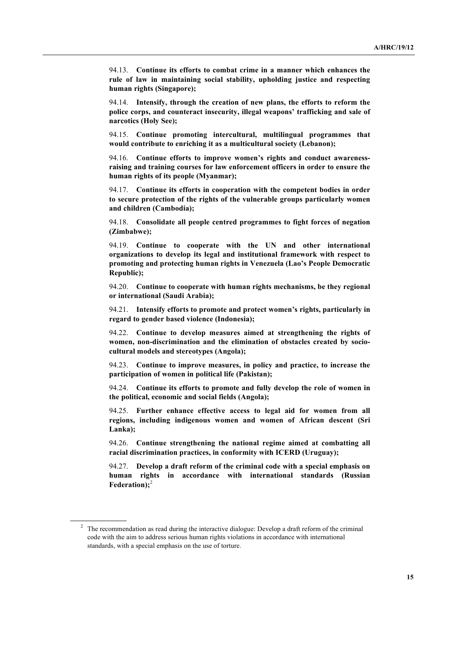94.13. **Continue its efforts to combat crime in a manner which enhances the rule of law in maintaining social stability, upholding justice and respecting human rights (Singapore);**

94.14. **Intensify, through the creation of new plans, the efforts to reform the police corps, and counteract insecurity, illegal weapons' trafficking and sale of narcotics (Holy See);**

94.15. **Continue promoting intercultural, multilingual programmes that would contribute to enriching it as a multicultural society (Lebanon);** 

94.16. **Continue efforts to improve women's rights and conduct awarenessraising and training courses for law enforcement officers in order to ensure the human rights of its people (Myanmar);**

94.17. **Continue its efforts in cooperation with the competent bodies in order to secure protection of the rights of the vulnerable groups particularly women and children (Cambodia);**

94.18. **Consolidate all people centred programmes to fight forces of negation (Zimbabwe);**

94.19. **Continue to cooperate with the UN and other international organizations to develop its legal and institutional framework with respect to promoting and protecting human rights in Venezuela (Lao's People Democratic Republic);**

94.20. **Continue to cooperate with human rights mechanisms, be they regional or international (Saudi Arabia);**

94.21. **Intensify efforts to promote and protect women's rights, particularly in regard to gender based violence (Indonesia);**

94.22. **Continue to develop measures aimed at strengthening the rights of women, non-discrimination and the elimination of obstacles created by sociocultural models and stereotypes (Angola);**

94.23. **Continue to improve measures, in policy and practice, to increase the participation of women in political life (Pakistan);**

94.24. **Continue its efforts to promote and fully develop the role of women in the political, economic and social fields (Angola);**

94.25. **Further enhance effective access to legal aid for women from all regions, including indigenous women and women of African descent (Sri Lanka);**

94.26. **Continue strengthening the national regime aimed at combatting all racial discrimination practices, in conformity with ICERD (Uruguay);** 

94.27. **Develop a draft reform of the criminal code with a special emphasis on human rights in accordance with international standards (Russian Federation);**<sup>2</sup>

<sup>&</sup>lt;sup>2</sup> The recommendation as read during the interactive dialogue: Develop a draft reform of the criminal code with the aim to address serious human rights violations in accordance with international standards, with a special emphasis on the use of torture.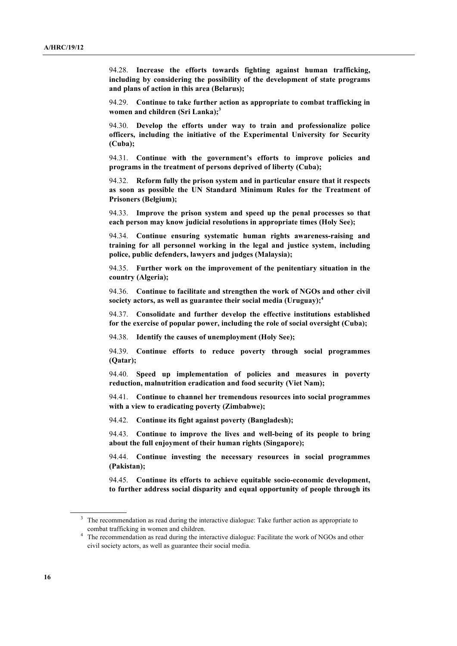94.28. **Increase the efforts towards fighting against human trafficking, including by considering the possibility of the development of state programs and plans of action in this area (Belarus);**

94.29. **Continue to take further action as appropriate to combat trafficking in women and children (Sri Lanka);3**

94.30. **Develop the efforts under way to train and professionalize police officers, including the initiative of the Experimental University for Security (Cuba);**

94.31. **Continue with the government's efforts to improve policies and programs in the treatment of persons deprived of liberty (Cuba);**

94.32. **Reform fully the prison system and in particular ensure that it respects as soon as possible the UN Standard Minimum Rules for the Treatment of Prisoners (Belgium);**

94.33. **Improve the prison system and speed up the penal processes so that each person may know judicial resolutions in appropriate times (Holy See);**

94.34. **Continue ensuring systematic human rights awareness-raising and training for all personnel working in the legal and justice system, including police, public defenders, lawyers and judges (Malaysia);**

94.35. **Further work on the improvement of the penitentiary situation in the country (Algeria);**

94.36. **Continue to facilitate and strengthen the work of NGOs and other civil society actors, as well as guarantee their social media (Uruguay);4**

94.37. **Consolidate and further develop the effective institutions established for the exercise of popular power, including the role of social oversight (Cuba);** 

94.38. **Identify the causes of unemployment (Holy See);**

94.39. **Continue efforts to reduce poverty through social programmes (Qatar);**

94.40. **Speed up implementation of policies and measures in poverty reduction, malnutrition eradication and food security (Viet Nam);**

94.41. **Continue to channel her tremendous resources into social programmes with a view to eradicating poverty (Zimbabwe);**

94.42. **Continue its fight against poverty (Bangladesh);**

94.43. **Continue to improve the lives and well-being of its people to bring about the full enjoyment of their human rights (Singapore);**

94.44. **Continue investing the necessary resources in social programmes (Pakistan);**

94.45. **Continue its efforts to achieve equitable socio-economic development, to further address social disparity and equal opportunity of people through its** 

<sup>&</sup>lt;sup>3</sup> The recommendation as read during the interactive dialogue: Take further action as appropriate to combat trafficking in women and children.

<sup>&</sup>lt;sup>4</sup> The recommendation as read during the interactive dialogue: Facilitate the work of NGOs and other civil society actors, as well as guarantee their social media.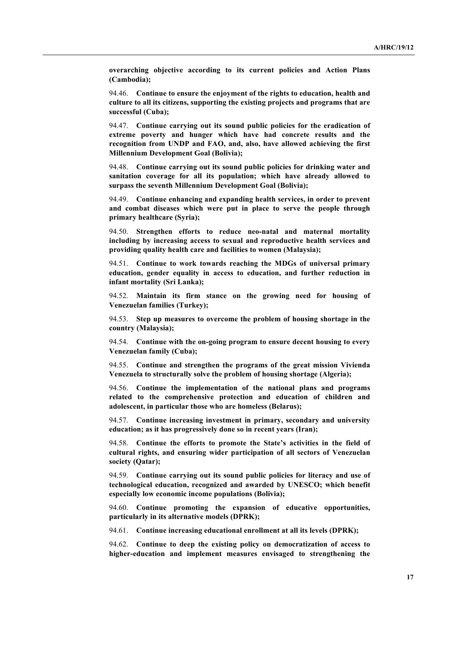**overarching objective according to its current policies and Action Plans (Cambodia);**

94.46. **Continue to ensure the enjoyment of the rights to education, health and culture to all its citizens, supporting the existing projects and programs that are successful (Cuba);**

94.47. **Continue carrying out its sound public policies for the eradication of extreme poverty and hunger which have had concrete results and the recognition from UNDP and FAO, and, also, have allowed achieving the first Millennium Development Goal (Bolivia);**

94.48. **Continue carrying out its sound public policies for drinking water and sanitation coverage for all its population; which have already allowed to surpass the seventh Millennium Development Goal (Bolivia);**

94.49. **Continue enhancing and expanding health services, in order to prevent and combat diseases which were put in place to serve the people through primary healthcare (Syria);**

94.50. **Strengthen efforts to reduce neo-natal and maternal mortality including by increasing access to sexual and reproductive health services and providing quality health care and facilities to women (Malaysia);**

94.51. **Continue to work towards reaching the MDGs of universal primary education, gender equality in access to education, and further reduction in infant mortality (Sri Lanka);**

94.52. **Maintain its firm stance on the growing need for housing of Venezuelan families (Turkey);**

94.53. **Step up measures to overcome the problem of housing shortage in the country (Malaysia);** 

94.54. **Continue with the on-going program to ensure decent housing to every Venezuelan family (Cuba);**

94.55. **Continue and strengthen the programs of the great mission Vivienda Venezuela to structurally solve the problem of housing shortage (Algeria);**

94.56. **Continue the implementation of the national plans and programs related to the comprehensive protection and education of children and adolescent, in particular those who are homeless (Belarus);**

94.57. **Continue increasing investment in primary, secondary and university education; as it has progressively done so in recent years (Iran);** 

94.58. **Continue the efforts to promote the State's activities in the field of cultural rights, and ensuring wider participation of all sectors of Venezuelan society (Qatar);**

94.59. **Continue carrying out its sound public policies for literacy and use of technological education, recognized and awarded by UNESCO; which benefit especially low economic income populations (Bolivia);**

94.60. **Continue promoting the expansion of educative opportunities, particularly in its alternative models (DPRK);**

94.61. **Continue increasing educational enrollment at all its levels (DPRK);**

94.62. **Continue to deep the existing policy on democratization of access to higher-education and implement measures envisaged to strengthening the**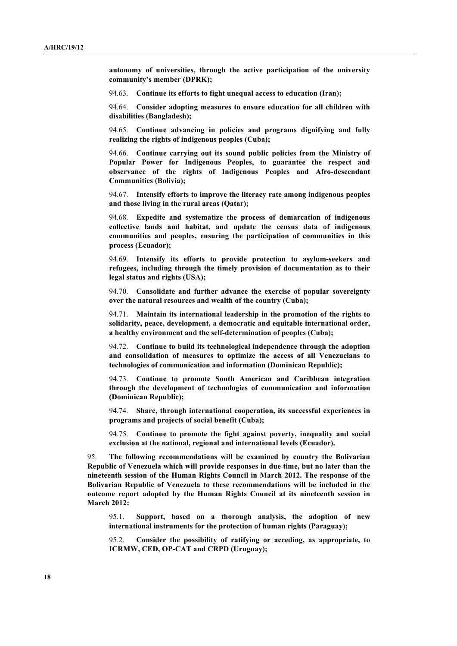**autonomy of universities, through the active participation of the university community's member (DPRK);**

94.63. **Continue its efforts to fight unequal access to education (Iran);** 

94.64. **Consider adopting measures to ensure education for all children with disabilities (Bangladesh);** 

94.65. **Continue advancing in policies and programs dignifying and fully realizing the rights of indigenous peoples (Cuba);**

94.66. **Continue carrying out its sound public policies from the Ministry of Popular Power for Indigenous Peoples, to guarantee the respect and observance of the rights of Indigenous Peoples and Afro-descendant Communities (Bolivia);**

94.67. **Intensify efforts to improve the literacy rate among indigenous peoples and those living in the rural areas (Qatar);** 

94.68. **Expedite and systematize the process of demarcation of indigenous collective lands and habitat, and update the census data of indigenous communities and peoples, ensuring the participation of communities in this process (Ecuador);**

94.69. **Intensify its efforts to provide protection to asylum-seekers and refugees, including through the timely provision of documentation as to their legal status and rights (USA);**

94.70. **Consolidate and further advance the exercise of popular sovereignty over the natural resources and wealth of the country (Cuba);**

94.71. **Maintain its international leadership in the promotion of the rights to solidarity, peace, development, a democratic and equitable international order, a healthy environment and the self-determination of peoples (Cuba);**

94.72. **Continue to build its technological independence through the adoption and consolidation of measures to optimize the access of all Venezuelans to technologies of communication and information (Dominican Republic);**

94.73. **Continue to promote South American and Caribbean integration through the development of technologies of communication and information (Dominican Republic);**

94.74. **Share, through international cooperation, its successful experiences in programs and projects of social benefit (Cuba);**

94.75. **Continue to promote the fight against poverty, inequality and social exclusion at the national, regional and international levels (Ecuador).**

95. **The following recommendations will be examined by country the Bolivarian Republic of Venezuela which will provide responses in due time, but no later than the nineteenth session of the Human Rights Council in March 2012. The response of the Bolivarian Republic of Venezuela to these recommendations will be included in the outcome report adopted by the Human Rights Council at its nineteenth session in March 2012:**

95.1. **Support, based on a thorough analysis, the adoption of new international instruments for the protection of human rights (Paraguay);**

95.2. **Consider the possibility of ratifying or acceding, as appropriate, to ICRMW, CED, OP-CAT and CRPD (Uruguay);**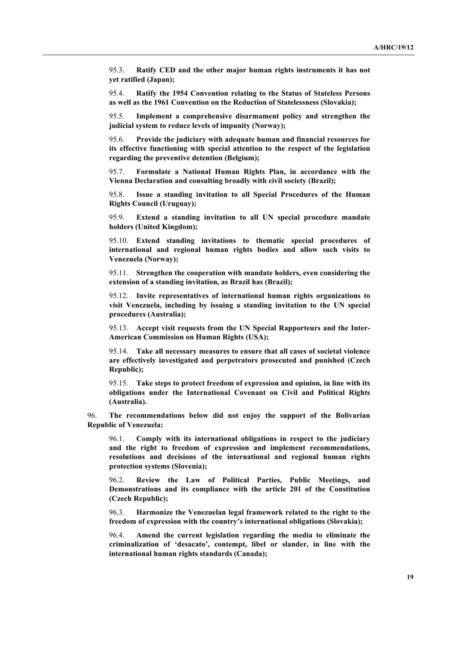95.3. **Ratify CED and the other major human rights instruments it has not yet ratified (Japan);**

95.4. **Ratify the 1954 Convention relating to the Status of Stateless Persons as well as the 1961 Convention on the Reduction of Statelessness (Slovakia);**

95.5. **Implement a comprehensive disarmament policy and strengthen the judicial system to reduce levels of impunity (Norway);**

95.6. **Provide the judiciary with adequate human and financial resources for its effective functioning with special attention to the respect of the legislation regarding the preventive detention (Belgium);**

95.7. **Formulate a National Human Rights Plan, in accordance with the Vienna Declaration and consulting broadly with civil society (Brazil);**

95.8. **Issue a standing invitation to all Special Procedures of the Human Rights Council (Uruguay);**

95.9. **Extend a standing invitation to all UN special procedure mandate holders (United Kingdom);**

95.10. **Extend standing invitations to thematic special procedures of international and regional human rights bodies and allow such visits to Venezuela (Norway);**

95.11. **Strengthen the cooperation with mandate holders, even considering the extension of a standing invitation, as Brazil has (Brazil);**

95.12. **Invite representatives of international human rights organizations to visit Venezuela, including by issuing a standing invitation to the UN special procedures (Australia);**

95.13. **Accept visit requests from the UN Special Rapporteurs and the Inter-American Commission on Human Rights (USA);** 

95.14. **Take all necessary measures to ensure that all cases of societal violence are effectively investigated and perpetrators prosecuted and punished (Czech Republic);**

95.15. **Take steps to protect freedom of expression and opinion, in line with its obligations under the International Covenant on Civil and Political Rights (Australia).**

96. **The recommendations below did not enjoy the support of the Bolivarian Republic of Venezuela:**

96.1. **Comply with its international obligations in respect to the judiciary and the right to freedom of expression and implement recommendations, resolutions and decisions of the international and regional human rights protection systems (Slovenia);**

96.2. **Review the Law of Political Parties, Public Meetings, and Demonstrations and its compliance with the article 201 of the Constitution (Czech Republic);**

96.3. **Harmonize the Venezuelan legal framework related to the right to the freedom of expression with the country's international obligations (Slovakia);**

96.4. **Amend the current legislation regarding the media to eliminate the criminalization of 'desacato', contempt, libel or slander, in line with the international human rights standards (Canada);**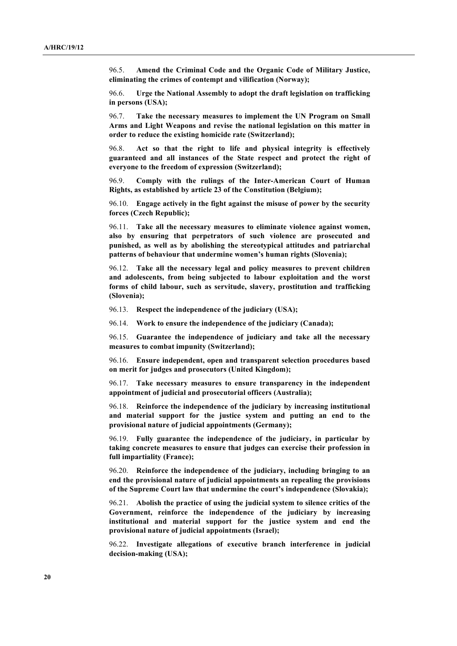96.5. **Amend the Criminal Code and the Organic Code of Military Justice, eliminating the crimes of contempt and vilification (Norway);**

96.6. **Urge the National Assembly to adopt the draft legislation on trafficking in persons (USA);**

96.7. **Take the necessary measures to implement the UN Program on Small Arms and Light Weapons and revise the national legislation on this matter in order to reduce the existing homicide rate (Switzerland);**

96.8. **Act so that the right to life and physical integrity is effectively guaranteed and all instances of the State respect and protect the right of everyone to the freedom of expression (Switzerland);**

96.9. **Comply with the rulings of the Inter-American Court of Human Rights, as established by article 23 of the Constitution (Belgium);**

96.10. **Engage actively in the fight against the misuse of power by the security forces (Czech Republic);**

96.11. **Take all the necessary measures to eliminate violence against women, also by ensuring that perpetrators of such violence are prosecuted and punished, as well as by abolishing the stereotypical attitudes and patriarchal patterns of behaviour that undermine women's human rights (Slovenia);**

96.12. **Take all the necessary legal and policy measures to prevent children and adolescents, from being subjected to labour exploitation and the worst forms of child labour, such as servitude, slavery, prostitution and trafficking (Slovenia);**

96.13. **Respect the independence of the judiciary (USA);**

96.14. **Work to ensure the independence of the judiciary (Canada);**

96.15. **Guarantee the independence of judiciary and take all the necessary measures to combat impunity (Switzerland);**

96.16. **Ensure independent, open and transparent selection procedures based on merit for judges and prosecutors (United Kingdom);**

96.17. **Take necessary measures to ensure transparency in the independent appointment of judicial and prosecutorial officers (Australia);**

96.18. **Reinforce the independence of the judiciary by increasing institutional and material support for the justice system and putting an end to the provisional nature of judicial appointments (Germany);**

96.19. **Fully guarantee the independence of the judiciary, in particular by taking concrete measures to ensure that judges can exercise their profession in full impartiality (France);**

96.20. **Reinforce the independence of the judiciary, including bringing to an end the provisional nature of judicial appointments an repealing the provisions of the Supreme Court law that undermine the court's independence (Slovakia);**

96.21. **Abolish the practice of using the judicial system to silence critics of the Government, reinforce the independence of the judiciary by increasing institutional and material support for the justice system and end the provisional nature of judicial appointments (Israel);**

96.22. **Investigate allegations of executive branch interference in judicial decision-making (USA);**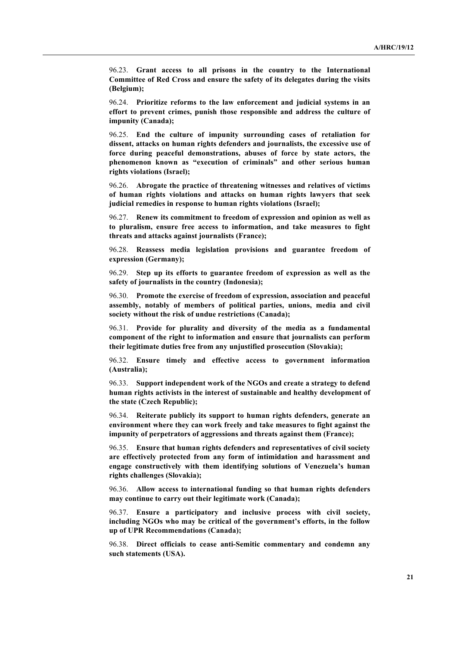96.23. **Grant access to all prisons in the country to the International Committee of Red Cross and ensure the safety of its delegates during the visits (Belgium);**

96.24. **Prioritize reforms to the law enforcement and judicial systems in an effort to prevent crimes, punish those responsible and address the culture of impunity (Canada);**

96.25. **End the culture of impunity surrounding cases of retaliation for dissent, attacks on human rights defenders and journalists, the excessive use of force during peaceful demonstrations, abuses of force by state actors, the phenomenon known as "execution of criminals" and other serious human rights violations (Israel);**

96.26. **Abrogate the practice of threatening witnesses and relatives of victims of human rights violations and attacks on human rights lawyers that seek judicial remedies in response to human rights violations (Israel);**

96.27. **Renew its commitment to freedom of expression and opinion as well as to pluralism, ensure free access to information, and take measures to fight threats and attacks against journalists (France);**

96.28. **Reassess media legislation provisions and guarantee freedom of expression (Germany);**

96.29. **Step up its efforts to guarantee freedom of expression as well as the safety of journalists in the country (Indonesia);**

96.30. **Promote the exercise of freedom of expression, association and peaceful assembly, notably of members of political parties, unions, media and civil society without the risk of undue restrictions (Canada);**

96.31. **Provide for plurality and diversity of the media as a fundamental component of the right to information and ensure that journalists can perform their legitimate duties free from any unjustified prosecution (Slovakia);**

96.32. **Ensure timely and effective access to government information (Australia);**

96.33. **Support independent work of the NGOs and create a strategy to defend human rights activists in the interest of sustainable and healthy development of the state (Czech Republic);**

96.34. **Reiterate publicly its support to human rights defenders, generate an environment where they can work freely and take measures to fight against the impunity of perpetrators of aggressions and threats against them (France);**

96.35. **Ensure that human rights defenders and representatives of civil society are effectively protected from any form of intimidation and harassment and engage constructively with them identifying solutions of Venezuela's human rights challenges (Slovakia);**

96.36. **Allow access to international funding so that human rights defenders may continue to carry out their legitimate work (Canada);**

96.37. **Ensure a participatory and inclusive process with civil society, including NGOs who may be critical of the government's efforts, in the follow up of UPR Recommendations (Canada);**

96.38. **Direct officials to cease anti-Semitic commentary and condemn any such statements (USA).**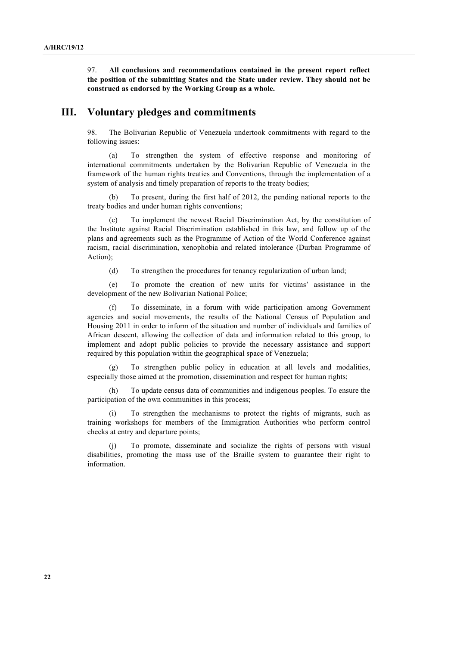97. **All conclusions and recommendations contained in the present report reflect the position of the submitting States and the State under review. They should not be construed as endorsed by the Working Group as a whole.**

#### **III. Voluntary pledges and commitments**

98. The Bolivarian Republic of Venezuela undertook commitments with regard to the following issues:

(a) To strengthen the system of effective response and monitoring of international commitments undertaken by the Bolivarian Republic of Venezuela in the framework of the human rights treaties and Conventions, through the implementation of a system of analysis and timely preparation of reports to the treaty bodies;

(b) To present, during the first half of 2012, the pending national reports to the treaty bodies and under human rights conventions;

(c) To implement the newest Racial Discrimination Act, by the constitution of the Institute against Racial Discrimination established in this law, and follow up of the plans and agreements such as the Programme of Action of the World Conference against racism, racial discrimination, xenophobia and related intolerance (Durban Programme of Action);

(d) To strengthen the procedures for tenancy regularization of urban land;

(e) To promote the creation of new units for victims' assistance in the development of the new Bolivarian National Police;

(f) To disseminate, in a forum with wide participation among Government agencies and social movements, the results of the National Census of Population and Housing 2011 in order to inform of the situation and number of individuals and families of African descent, allowing the collection of data and information related to this group, to implement and adopt public policies to provide the necessary assistance and support required by this population within the geographical space of Venezuela;

(g) To strengthen public policy in education at all levels and modalities, especially those aimed at the promotion, dissemination and respect for human rights;

(h) To update census data of communities and indigenous peoples. To ensure the participation of the own communities in this process;

(i) To strengthen the mechanisms to protect the rights of migrants, such as training workshops for members of the Immigration Authorities who perform control checks at entry and departure points;

(j) To promote, disseminate and socialize the rights of persons with visual disabilities, promoting the mass use of the Braille system to guarantee their right to information.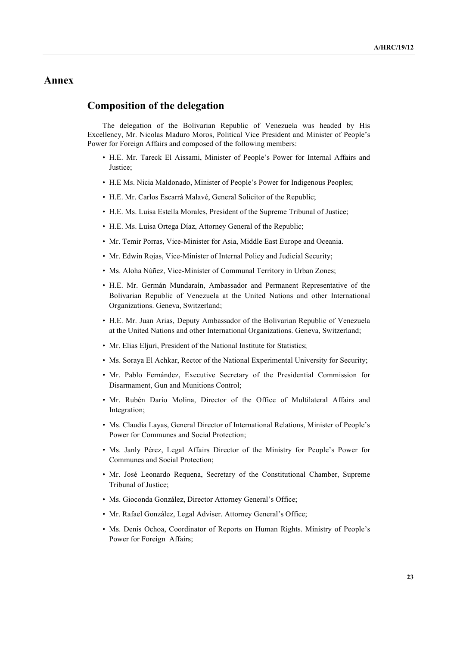## **Annex**

## **Composition of the delegation**

The delegation of the Bolivarian Republic of Venezuela was headed by His Excellency, Mr. Nicolas Maduro Moros, Political Vice President and Minister of People's Power for Foreign Affairs and composed of the following members:

- H.E. Mr. Tareck El Aissami, Minister of People's Power for Internal Affairs and Justice;
- H.E Ms. Nicia Maldonado, Minister of People's Power for Indigenous Peoples;
- H.E. Mr. Carlos Escarrá Malavé, General Solicitor of the Republic;
- H.E. Ms. Luisa Estella Morales, President of the Supreme Tribunal of Justice;
- H.E. Ms. Luisa Ortega Díaz, Attorney General of the Republic;
- Mr. Temir Porras, Vice-Minister for Asia, Middle East Europe and Oceania.
- Mr. Edwin Rojas, Vice-Minister of Internal Policy and Judicial Security;
- Ms. Aloha Núñez, Vice-Minister of Communal Territory in Urban Zones;
- H.E. Mr. Germán Mundaraín, Ambassador and Permanent Representative of the Bolivarian Republic of Venezuela at the United Nations and other International Organizations. Geneva, Switzerland;
- H.E. Mr. Juan Arias, Deputy Ambassador of the Bolivarian Republic of Venezuela at the United Nations and other International Organizations. Geneva, Switzerland;
- Mr. Elias Eljuri, President of the National Institute for Statistics;
- Ms. Soraya El Achkar, Rector of the National Experimental University for Security;
- Mr. Pablo Fernández, Executive Secretary of the Presidential Commission for Disarmament, Gun and Munitions Control;
- Mr. Rubén Darío Molina, Director of the Office of Multilateral Affairs and Integration;
- Ms. Claudia Layas, General Director of International Relations, Minister of People's Power for Communes and Social Protection;
- Ms. Janly Pérez, Legal Affairs Director of the Ministry for People's Power for Communes and Social Protection;
- Mr. José Leonardo Requena, Secretary of the Constitutional Chamber, Supreme Tribunal of Justice;
- Ms. Gioconda González, Director Attorney General's Office;
- Mr. Rafael González, Legal Adviser. Attorney General's Office;
- Ms. Denis Ochoa, Coordinator of Reports on Human Rights. Ministry of People's Power for Foreign Affairs;